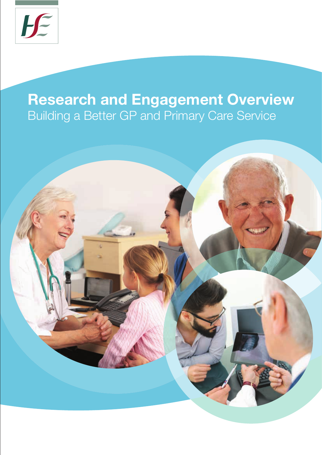

## **Research and Engagement Overview** Building a Better GP and Primary Care Service

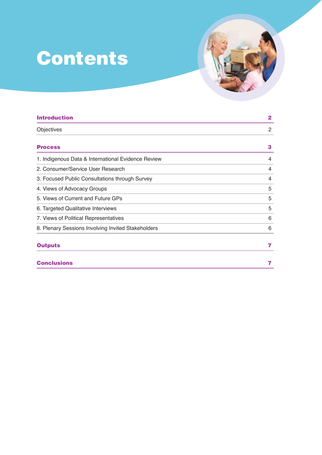# **Contents**

| <b>Introduction</b>                                | $\mathbf{2}$   |
|----------------------------------------------------|----------------|
| Objectives                                         | $\overline{2}$ |
| <b>Process</b>                                     | 3              |
| 1. Indigenous Data & International Evidence Review | 4              |
| 2. Consumer/Service User Research                  | 4              |
| 3. Focused Public Consultations through Survey     | 4              |
| 4. Views of Advocacy Groups                        | 5              |
| 5. Views of Current and Future GPs                 | 5              |
| 6. Targeted Qualitative Interviews                 | 5              |
| 7. Views of Political Representatives              | 6              |
| 8. Plenary Sessions Involving Invited Stakeholders | 6              |
| <b>Outputs</b>                                     | 7              |
| <b>Conclusions</b>                                 | 7              |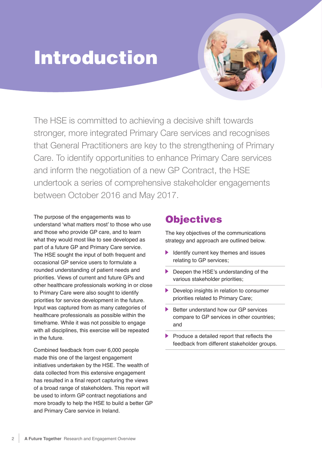## Introduction

The HSE is committed to achieving a decisive shift towards stronger, more integrated Primary Care services and recognises that General Practitioners are key to the strengthening of Primary Care. To identify opportunities to enhance Primary Care services and inform the negotiation of a new GP Contract, the HSE undertook a series of comprehensive stakeholder engagements between October 2016 and May 2017.

The purpose of the engagements was to understand 'what matters most' to those who use and those who provide GP care, and to learn what they would most like to see developed as part of a future GP and Primary Care service. The HSE sought the input of both frequent and occasional GP service users to formulate a rounded understanding of patient needs and priorities. Views of current and future GPs and other healthcare professionals working in or close to Primary Care were also sought to identify priorities for service development in the future. Input was captured from as many categories of healthcare professionals as possible within the timeframe. While it was not possible to engage with all disciplines, this exercise will be repeated in the future.

Combined feedback from over 6,000 people made this one of the largest engagement initiatives undertaken by the HSE. The wealth of data collected from this extensive engagement has resulted in a final report capturing the views of a broad range of stakeholders. This report will be used to inform GP contract negotiations and more broadly to help the HSE to build a better GP and Primary Care service in Ireland.

### **Objectives**

The key objectives of the communications strategy and approach are outlined below.

- Identify current key themes and issues  $\blacktriangleright$ relating to GP services;
- Deepen the HSE's understanding of the various stakeholder priorities;
- **Develop insights in relation to consumer** priorities related to Primary Care;
- Better understand how our GP services compare to GP services in other countries; and
- Produce a detailed report that reflects the feedback from different stakeholder groups.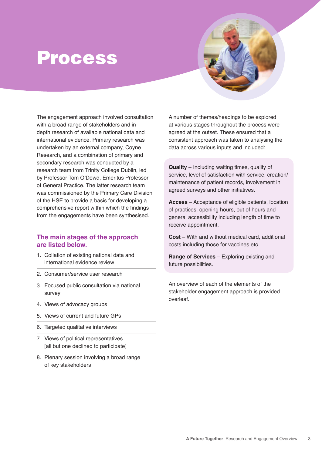## Process

The engagement approach involved consultation with a broad range of stakeholders and indepth research of available national data and international evidence. Primary research was undertaken by an external company, Coyne Research, and a combination of primary and secondary research was conducted by a research team from Trinity College Dublin, led by Professor Tom O'Dowd, Emeritus Professor of General Practice. The latter research team was commissioned by the Primary Care Division of the HSE to provide a basis for developing a comprehensive report within which the findings from the engagements have been synthesised.

#### **The main stages of the approach are listed below.**

- 1. Collation of existing national data and international evidence review
- 2. Consumer/service user research
- 3. Focused public consultation via national survey
- 4. Views of advocacy groups
- 5. Views of current and future GPs
- 6. Targeted qualitative interviews
- 7. Views of political representatives [all but one declined to participate]
- 8. Plenary session involving a broad range of key stakeholders

A number of themes/headings to be explored at various stages throughout the process were agreed at the outset. These ensured that a consistent approach was taken to analysing the data across various inputs and included:

**Quality** – Including waiting times, quality of service, level of satisfaction with service, creation/ maintenance of patient records, involvement in agreed surveys and other initiatives.

**Access** – Acceptance of eligible patients, location of practices, opening hours, out of hours and general accessibility including length of time to receive appointment.

**Cost** – With and without medical card, additional costs including those for vaccines etc.

**Range of Services** – Exploring existing and future possibilities.

An overview of each of the elements of the stakeholder engagement approach is provided overleaf.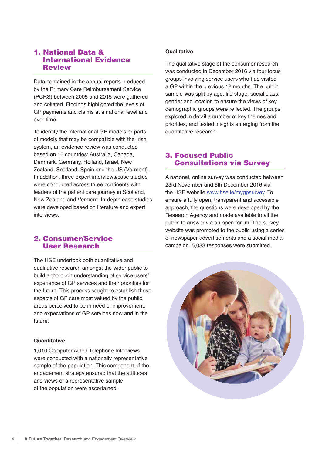#### 1. National Data & International Evidence Review

Data contained in the annual reports produced by the Primary Care Reimbursement Service (PCRS) between 2005 and 2015 were gathered and collated. Findings highlighted the levels of GP payments and claims at a national level and over time.

To identify the international GP models or parts of models that may be compatible with the Irish system, an evidence review was conducted based on 10 countries: Australia, Canada, Denmark, Germany, Holland, Israel, New Zealand, Scotland, Spain and the US (Vermont). In addition, three expert interviews/case studies were conducted across three continents with leaders of the patient care journey in Scotland, New Zealand and Vermont. In-depth case studies were developed based on literature and expert interviews.

#### 2. Consumer/Service User Research

The HSE undertook both quantitative and qualitative research amongst the wider public to build a thorough understanding of service users' experience of GP services and their priorities for the future. This process sought to establish those aspects of GP care most valued by the public, areas perceived to be in need of improvement, and expectations of GP services now and in the future.

#### **Quantitative**

1,010 Computer Aided Telephone Interviews were conducted with a nationally representative sample of the population. This component of the engagement strategy ensured that the attitudes and views of a representative sample of the population were ascertained.

#### **Qualitative**

The qualitative stage of the consumer research was conducted in December 2016 via four focus groups involving service users who had visited a GP within the previous 12 months. The public sample was split by age, life stage, social class, gender and location to ensure the views of key demographic groups were reflected. The groups explored in detail a number of key themes and priorities, and tested insights emerging from the quantitative research.

#### 3. Focused Public Consultations via Survey

A national, online survey was conducted between 23rd November and 5th December 2016 via the HSE website www.hse.ie/mygpsurvey. To ensure a fully open, transparent and accessible approach, the questions were developed by the Research Agency and made available to all the public to answer via an open forum. The survey website was promoted to the public using a series of newspaper advertisements and a social media campaign. 5,083 responses were submitted.

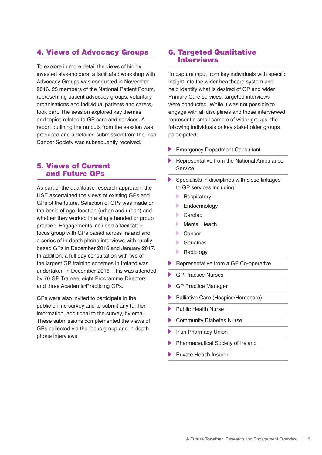#### 4. Views of Advocacy Groups

To explore in more detail the views of highly invested stakeholders, a facilitated workshop with Advocacy Groups was conducted in November 2016. 25 members of the National Patient Forum, representing patient advocacy groups, voluntary organisations and individual patients and carers, took part. The session explored key themes and topics related to GP care and services. A report outlining the outputs from the session was produced and a detailed submission from the Irish Cancer Society was subsequently received.

#### 5. Views of Current and Future GPs

As part of the qualitative research approach, the HSE ascertained the views of existing GPs and GPs of the future. Selection of GPs was made on the basis of age, location (urban and urban) and whether they worked in a single handed or group practice. Engagements included a facilitated focus group with GPs based across Ireland and a series of in-depth phone interviews with rurally based GPs in December 2016 and January 2017. In addition, a full day consultation with two of the largest GP training schemes in Ireland was undertaken in December 2016. This was attended by 70 GP Trainee, eight Programme Directors and three Academic/Practicing GPs.

GPs were also invited to participate in the public online survey and to submit any further information, additional to the survey, by email. These submissions complemented the views of GPs collected via the focus group and in-depth phone interviews.

#### 6. Targeted Qualitative Interviews

To capture input from key individuals with specific insight into the wider healthcare system and help identify what is desired of GP and wider Primary Care services, targeted interviews were conducted. While it was not possible to engage with all disciplines and those interviewed represent a small sample of wider groups, the following individuals or key stakeholder groups participated:

- Emergency Department Consultant
- $\blacktriangleright$  Representative from the National Ambulance Service
- Specialists in disciplines with close linkages to GP services including:
	- Þ. **Respiratory**
	- $\mathbf{E}$ Endocrinology
	- Cardiac
	- **Mental Health**
	- Cancer
	- **Geriatrics**
	- $\blacktriangleright$ Radiology
- Representative from a GP Co-operative
- GP Practice Nurses
- GP Practice Manager
- Palliative Care (Hospice/Homecare)
- Public Health Nurse
- Community Diabetes Nurse
- Irish Pharmacy Union
- Pharmaceutical Society of Ireland
- Private Health Insurer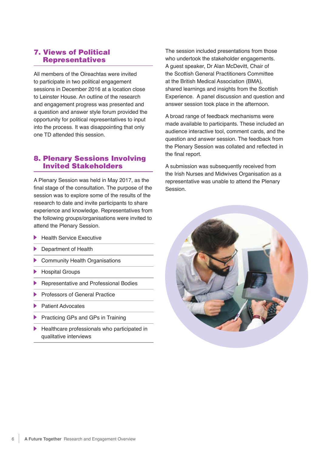#### 7. Views of Political Representatives

All members of the Oireachtas were invited to participate in two political engagement sessions in December 2016 at a location close to Leinster House. An outline of the research and engagement progress was presented and a question and answer style forum provided the opportunity for political representatives to input into the process. It was disappointing that only one TD attended this session.

#### 8. Plenary Sessions Involving Invited Stakeholders

A Plenary Session was held in May 2017, as the final stage of the consultation. The purpose of the session was to explore some of the results of the research to date and invite participants to share experience and knowledge. Representatives from the following groups/organisations were invited to attend the Plenary Session.

- Health Service Executive
- Department of Health
- Community Health Organisations
- Hospital Groups
- Representative and Professional Bodies
- Professors of General Practice
- Patient Advocates
- Practicing GPs and GPs in Training
- Healthcare professionals who participated in qualitative interviews

The session included presentations from those who undertook the stakeholder engagements. A guest speaker, Dr Alan McDevitt, Chair of the Scottish General Practitioners Committee at the British Medical Association (BMA), shared learnings and insights from the Scottish Experience. A panel discussion and question and answer session took place in the afternoon.

A broad range of feedback mechanisms were made available to participants. These included an audience interactive tool, comment cards, and the question and answer session. The feedback from the Plenary Session was collated and reflected in the final report.

A submission was subsequently received from the Irish Nurses and Midwives Organisation as a representative was unable to attend the Plenary Session.

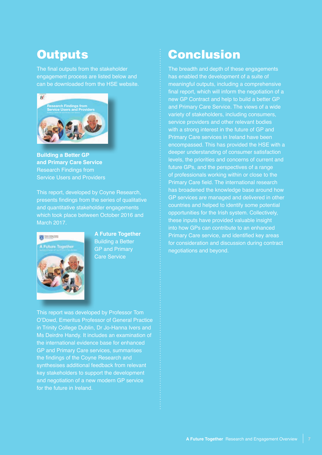### **Outputs**

The final outputs from the stakeholder engagement process are listed below and can be downloaded from the HSE website.



**Building a Better GP and Primary Care Service**  Research Findings from Service Users and Providers

This report, developed by Coyne Research, presents findings from the series of qualitative and quantitative stakeholder engagements which took place between October 2016 and March 2017.



**A Future Together**  Building a Better GP and Primary Care Service

This report was developed by Professor Tom O'Dowd, Emeritus Professor of General Practice in Trinity College Dublin, Dr Jo-Hanna Ivers and Ms Deirdre Handy. It includes an examination of the international evidence base for enhanced GP and Primary Care services, summarises the findings of the Coyne Research and synthesises additional feedback from relevant key stakeholders to support the development and negotiation of a new modern GP service for the future in Ireland.

### Conclusion

The breadth and depth of these engagements has enabled the development of a suite of meaningful outputs, including a comprehensive final report, which will inform the negotiation of a new GP Contract and help to build a better GP and Primary Care Service. The views of a wide variety of stakeholders, including consumers, service providers and other relevant bodies with a strong interest in the future of GP and Primary Care services in Ireland have been encompassed. This has provided the HSE with a deeper understanding of consumer satisfaction levels, the priorities and concerns of current and future GPs, and the perspectives of a range of professionals working within or close to the Primary Care field. The international research has broadened the knowledge base around how GP services are managed and delivered in other countries and helped to identify some potential opportunities for the Irish system. Collectively, these inputs have provided valuable insight into how GPs can contribute to an enhanced Primary Care service, and identified key areas for consideration and discussion during contract negotiations and beyond. A Future Total Control of the Control of the Control of the Control of the Control of the Control of the Service Control of the Service Control of the Service Control of the Service Control of the Service Control of the Se